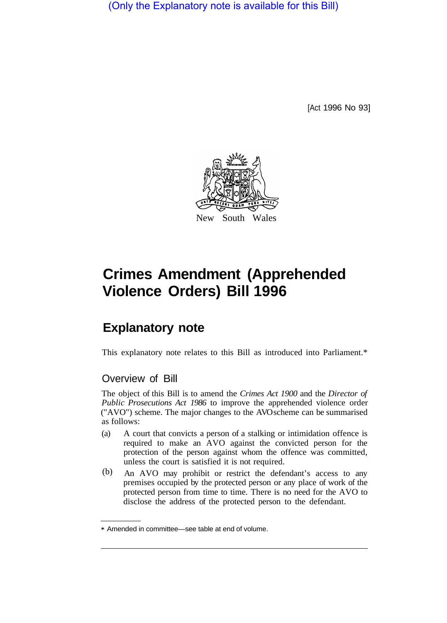(Only the Explanatory note is available for this Bill)

[Act 1996 No 93]



# **Crimes Amendment (Apprehended Violence Orders) Bill 1996**

## **Explanatory note**

This explanatory note relates to this Bill as introduced into Parliament.\*

### Overview of Bill

The object of this Bill is to amend the *Crimes Act 1900* and the *Director of Public Prosecutions Act 1986* to improve the apprehended violence order ("AVO") scheme. The major changes to the AVO scheme can be summarised as follows:

- (a) A court that convicts a person of a stalking or intimidation offence is required to make an AVO against the convicted person for the protection of the person against whom the offence was committed, unless the court is satisfied it is not required.
- An AVO may prohibit or restrict the defendant's access to any premises occupied by the protected person or any place of work of the protected person from time to time. There is no need for the AVO to disclose the address of the protected person to the defendant. (b)

<sup>\*</sup> Amended in committee—see table at end of volume.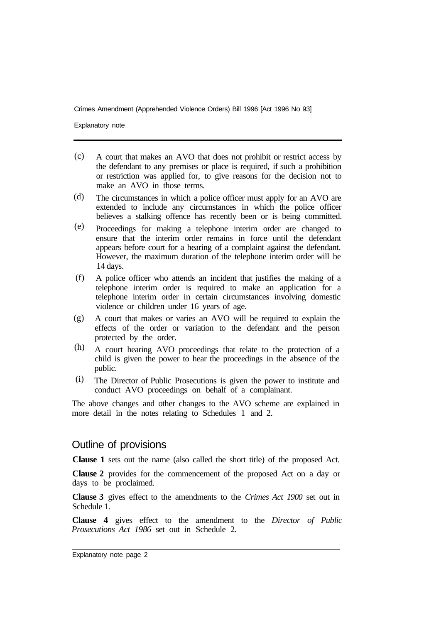Explanatory note

- A court that makes an AVO that does not prohibit or restrict access by the defendant to any premises or place is required, if such a prohibition or restriction was applied for, to give reasons for the decision not to make an AVO in those terms. (c)
- The circumstances in which a police officer must apply for an AVO are extended to include any circumstances in which the police officer believes a stalking offence has recently been or is being committed. (d)
- Proceedings for making a telephone interim order are changed to ensure that the interim order remains in force until the defendant appears before court for a hearing of a complaint against the defendant. However, the maximum duration of the telephone interim order will be 14 days. (e)
- A police officer who attends an incident that justifies the making of a telephone interim order is required to make an application for a telephone interim order in certain circumstances involving domestic violence or children under 16 years of age. (f)
- A court that makes or varies an AVO will be required to explain the effects of the order or variation to the defendant and the person protected by the order. (g)
- A court hearing AVO proceedings that relate to the protection of a child is given the power to hear the proceedings in the absence of the public. (h)
- The Director of Public Prosecutions is given the power to institute and conduct AVO proceedings on behalf of a complainant. (i)

The above changes and other changes to the AVO scheme are explained in more detail in the notes relating to Schedules 1 and 2.

#### Outline of provisions

**Clause 1** sets out the name (also called the short title) of the proposed Act.

**Clause 2** provides for the commencement of the proposed Act on a day or days to be proclaimed.

**Clause 3** gives effect to the amendments to the *Crimes Act 1900* set out in Schedule 1.

**Clause 4** gives effect to the amendment to the *Director of Public Prosecutions Act 1986* set out in Schedule 2.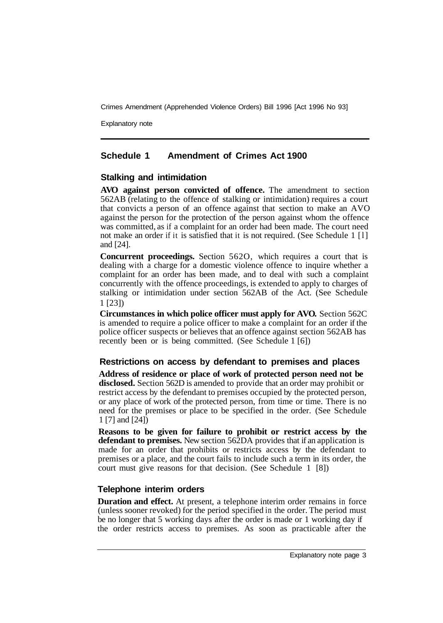Explanatory note

#### **Schedule 1 Amendment of Crimes Act 1900**

#### **Stalking and intimidation**

**AVO against person convicted of offence.** The amendment to section 562AB (relating to the offence of stalking or intimidation) requires a court that convicts a person of an offence against that section to make an AVO against the person for the protection of the person against whom the offence was committed, as if a complaint for an order had been made. The court need not make an order if it is satisfied that it is not required. (See Schedule 1 [l] and [24].

**Concurrent proceedings.** Section 562O, which requires a court that is dealing with a charge for a domestic violence offence to inquire whether a complaint for an order has been made, and to deal with such a complaint concurrently with the offence proceedings, is extended to apply to charges of stalking or intimidation under section 562AB of the Act. (See Schedule 1 [23])

**Circumstances in which police officer must apply for AVO.** Section 562C is amended to require a police officer to make a complaint for an order if the police officer suspects or believes that an offence against section 562AB has recently been or is being committed. (See Schedule 1 [6])

#### **Restrictions on access by defendant to premises and places**

**Address of residence or place of work of protected person need not be disclosed.** Section 562D is amended to provide that an order may prohibit or restrict access by the defendant to premises occupied by the protected person, or any place of work of the protected person, from time or time. There is no need for the premises or place to be specified in the order. (See Schedule 1 [7] and [24])

**Reasons to be given for failure to prohibit or restrict access by the defendant to premises.** New section 562DA provides that if an application is made for an order that prohibits or restricts access by the defendant to premises or a place, and the court fails to include such a term in its order, the court must give reasons for that decision. (See Schedule 1 [8])

#### **Telephone interim orders**

**Duration and effect.** At present, a telephone interim order remains in force (unless sooner revoked) for the period specified in the order. The period must be no longer that 5 working days after the order is made or 1 working day if the order restricts access to premises. As soon as practicable after the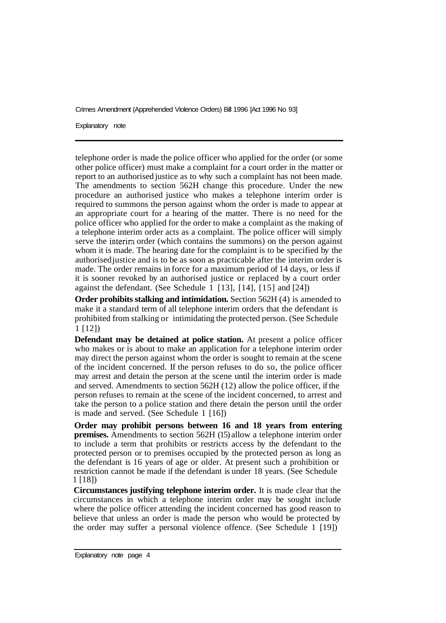Explanatory note

telephone order is made the police officer who applied for the order (or some other police officer) must make a complaint for a court order in the matter or report to an authorised justice as to why such a complaint has not been made. The amendments to section 562H change this procedure. Under the new procedure an authorised justice who makes a telephone interim order is required to summons the person against whom the order is made to appear at an appropriate court for a hearing of the matter. There is no need for the police officer who applied for the order to make a complaint as the making of a telephone interim order acts as a complaint. The police officer will simply serve the interim order (which contains the summons) on the person against whom it is made. The hearing date for the complaint is to be specified by the authorised justice and is to be as soon as practicable after the interim order is made. The order remains in force for a maximum period of 14 days, or less if it is sooner revoked by an authorised justice or replaced by a court order against the defendant. (See Schedule 1 [13], [14], [15] and [24])

**Order prohibits stalking and intimidation.** Section 562H (4) is amended to make it a standard term of all telephone interim orders that the defendant is prohibited from stalking or intimidating the protected person. (See Schedule 1 [12])

**Defendant may be detained at police station.** At present a police officer who makes or is about to make an application for a telephone interim order may direct the person against whom the order is sought to remain at the scene of the incident concerned. If the person refuses to do so, the police officer may arrest and detain the person at the scene until the interim order is made and served. Amendments to section 562H (12) allow the police officer, if the person refuses to remain at the scene of the incident concerned, to arrest and take the person to a police station and there detain the person until the order is made and served. (See Schedule 1 [16])

**Order may prohibit persons between 16 and 18 years from entering premises.** Amendments to section 562H (15) allow a telephone interim order to include a term that prohibits or restricts access by the defendant to the protected person or to premises occupied by the protected person as long as the defendant is 16 years of age or older. At present such a prohibition or restriction cannot be made if the defendant is under 18 years. (See Schedule 1 [18])

**Circumstances justifying telephone interim order.** It is made clear that the circumstances in which a telephone interim order may be sought include where the police officer attending the incident concerned has good reason to believe that unless an order is made the person who would be protected by the order may suffer a personal violence offence. (See Schedule 1 [19])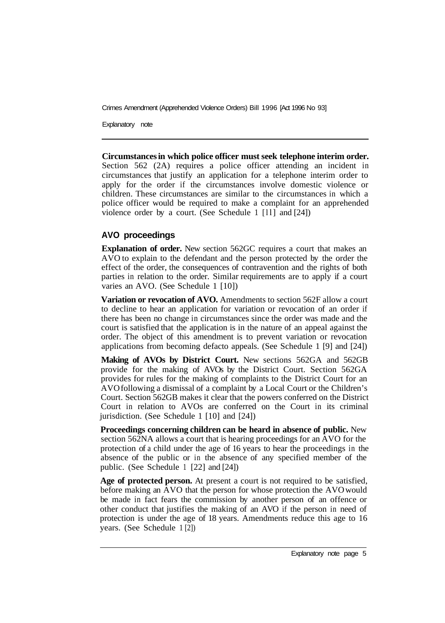Explanatory note

**Circumstances in which police officer must seek telephone interim order.**  Section 562 (2A) requires a police officer attending an incident in circumstances that justify an application for a telephone interim order to apply for the order if the circumstances involve domestic violence or children. These circumstances are similar to the circumstances in which a police officer would be required to make a complaint for an apprehended violence order by a court. (See Schedule 1  $[11]$  and  $[24]$ )

#### **AVO proceedings**

**Explanation of order.** New section 562GC requires a court that makes an AVO to explain to the defendant and the person protected by the order the effect of the order, the consequences of contravention and the rights of both parties in relation to the order. Similar requirements are to apply if a court varies an AVO. (See Schedule 1 [10])

**Variation or revocation of AVO.** Amendments to section 562F allow a court to decline to hear an application for variation or revocation of an order if there has been no change in circumstances since the order was made and the court is satisfied that the application is in the nature of an appeal against the order. The object of this amendment is to prevent variation or revocation applications from becoming defacto appeals. (See Schedule 1 [9] and [24])

**Making of AVOs by District Court.** New sections 562GA and 562GB provide for the making of AVOs by the District Court. Section 562GA provides for rules for the making of complaints to the District Court for an AVO following a dismissal of a complaint by a Local Court or the Children's Court. Section 562GB makes it clear that the powers conferred on the District Court in relation to AVOs are conferred on the Court in its criminal jurisdiction. (See Schedule 1 [10] and [24])

**Proceedings concerning children can be heard in absence of public.** New section 562NA allows a court that is hearing proceedings for an AVO for the protection of a child under the age of 16 years to hear the proceedings in the absence of the public or in the absence of any specified member of the public. (See Schedule 1 [22] and [24])

**Age of protected person.** At present a court is not required to be satisfied, before making an AVO that the person for whose protection the AVO would be made in fact fears the commission by another person of an offence or other conduct that justifies the making of an AVO if the person in need of protection is under the age of 18 years. Amendments reduce this age to 16 years. (See Schedule 1 [2])